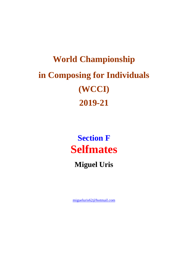# **World Championship** in Composing for Individuals (WCCI) 2019-21

**Section F Selfmates** 

**Miguel Uris** 

migueluris62@hotmail.com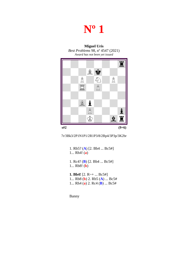### **Nº 1**

#### **Miguel Uris** *Best Problems* 98, nº 4547 (2021) *Award has not been yet issued*



7r/3Bk3/2P1N1P1/2R1P3/8/2Bp4/3P3p/3K2br

1. Rb5? (**A**) [2. Bb4 ... Bc5#] 1... Rh4! (**a**) 1. Rc4? (**B**) [2. Bb4 ... Bc5#] 1... Rb8! (**b**) **1. Bb4!** [2. R~+ ... Bc5#] 1... Rb8 (**b**) 2. Rb5 (**A**) ... Bc5# 1... Rh4 (**a**) 2. Rc4 (**B**) ... Bc5#

Banny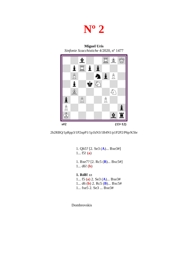### **Nº 2**

**Miguel Uris** *Sinfonie Scacchistiche* 4/2020, nº 1477



2b2RBQ/1pRpp3/1P2npP1/1p1kN3/1B4N1/p1P2P2/P6p/K5br

1. Qh5? [2. Se3 (**A**)... Bxe3#] 1... f5! (**a**) 1. Bxe7? [2. Rc5 (**B**)... Bxc5#] 1... d6! (**b**) **1. Rd8!** zz 1... f5 (**a**) 2. Se3 (**A**)... Bxe3# 1... d6 (**b**) 2. Rc5 (**B**)... Bxc5# 1... fxe5 2. Se3 ... Bxe3#

Dombrovskis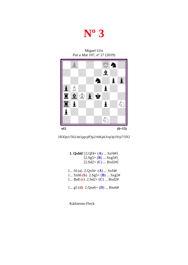## **Nº 3**

Miguel Uris *Pat a Mat* 107, nº 27 (2019)





 **1. Qxh6!** [2.Qf4+ (**A**) ... Sxf4#]  $[2.Sg5+(B) ... Sxg5+]$  $[2.5d2+(C) ... Bxd2!]$  1... f4 (**a**) 2.Qxf4+ (**A**) ... Sxf4# 1... Sxh6 (**b**) 2.Sg5+ (**B**) ... Sxg5# 1... Be8 (**c**) 2.Sd2+ (**C**) ... Bxd2# 1... g5 (**d**) 2.Qxe6+ (**D**) ... Bxe6#

Kärlstrom-Fleck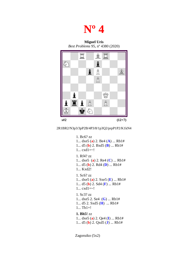

**Miguel Uris** *Best Problems* 95, nº 4380 (2020)



2R1BR2/N3p3/3pP2B/4P3/8/1p3Q2/prpP1P2/K1kN4

```
1. Bc6? zz 
1... dxe5 (a) 2. Be4 (A) ... Rb1#
1... d5 (b) 2. Bxd5 (B) ... Rb1#
1... cxd1=~! 
1. Rf4? zz
1... dxe5 (a) 2. Re4 (C) ... Rb1#
1... d5 (b) 2. Rd4 (D) ... Rb1#
1... Kxd2! 
1. Sc6? zz
1... dxe5 (a) 2. Sxe5 (E) ... Rb1#
1... d5 (b) 2. Sd4 (F) ... Rb1#
1... cxd1=-!
1. Sc3? zz
1... dxe5 2. Se4 (G) ... Rb1#
1... d5 2. Sxd5 (H) ... Rb1#
1... Tb1+!
1. Bh5! zz
1... dxe5 (a) 2. Qe4 (I) ... Rb1#
1... d5 (b) 2. Qxd5 (J) ... Rb1#
```
Zagoruiko (5x2)